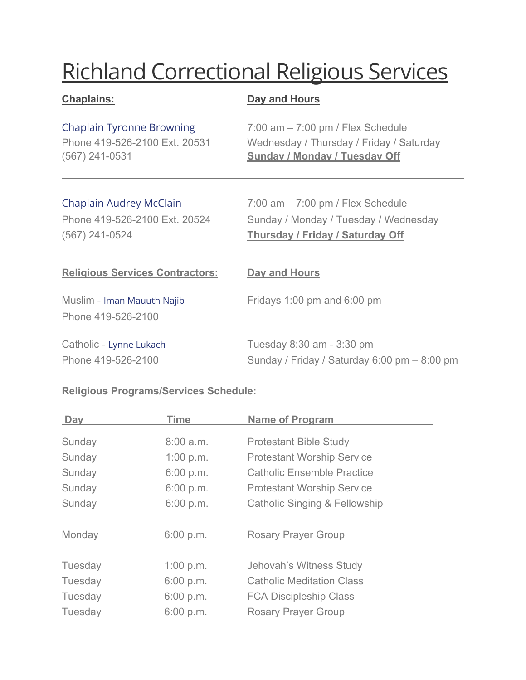# Richland Correctional Religious Services

### **Chaplains: Day and Hours**

[Chaplain Tyronne Browning](mailto:Scott.Logan@odrc.state.oh.us) 7:00 am – 7:00 pm / Flex Schedule Phone 419-526-2100 Ext. 20531 Wednesday / Thursday / Friday / Saturday (567) 241-0531 **Sunday / Monday / Tuesday Off**

[Chaplain Audrey McClain](mailto:udrey.McClain@odrc.state.oh.us) 7:00 am – 7:00 pm / Flex Schedule Phone 419-526-2100 Ext. 20524 Sunday / Monday / Tuesday / Wednesday (567) 241-0524 **Thursday / Friday / Saturday Off**

## **Religious Services Contractors: Day and Hours**

Phone 419-526-2100

Muslim - Iman [Mauuth Najib](mailto:kamal.najib@ymail.com) Fridays 1:00 pm and 6:00 pm

Catholic - [Lynne Lukach](mailto:lukach.lynne@myspartans.org) Tuesday 8:30 am - 3:30 pm Phone 419-526-2100 Sunday / Friday / Saturday 6:00 pm – 8:00 pm

### **Religious Programs/Services Schedule:**

| Day     | Time      | <b>Name of Program</b>                   |  |
|---------|-----------|------------------------------------------|--|
|         |           |                                          |  |
| Sunday  | 8:00a.m.  | <b>Protestant Bible Study</b>            |  |
| Sunday  | 1:00 p.m. | <b>Protestant Worship Service</b>        |  |
| Sunday  | 6:00 p.m. | <b>Catholic Ensemble Practice</b>        |  |
| Sunday  | 6:00 p.m. | <b>Protestant Worship Service</b>        |  |
| Sunday  | 6:00 p.m. | <b>Catholic Singing &amp; Fellowship</b> |  |
|         |           |                                          |  |
| Monday  | 6:00 p.m. | <b>Rosary Prayer Group</b>               |  |
|         |           |                                          |  |
| Tuesday | 1:00 p.m. | Jehovah's Witness Study                  |  |
| Tuesday | 6:00 p.m. | <b>Catholic Meditation Class</b>         |  |
| Tuesday | 6:00 p.m. | <b>FCA Discipleship Class</b>            |  |
| Tuesday | 6:00 p.m. | <b>Rosary Prayer Group</b>               |  |